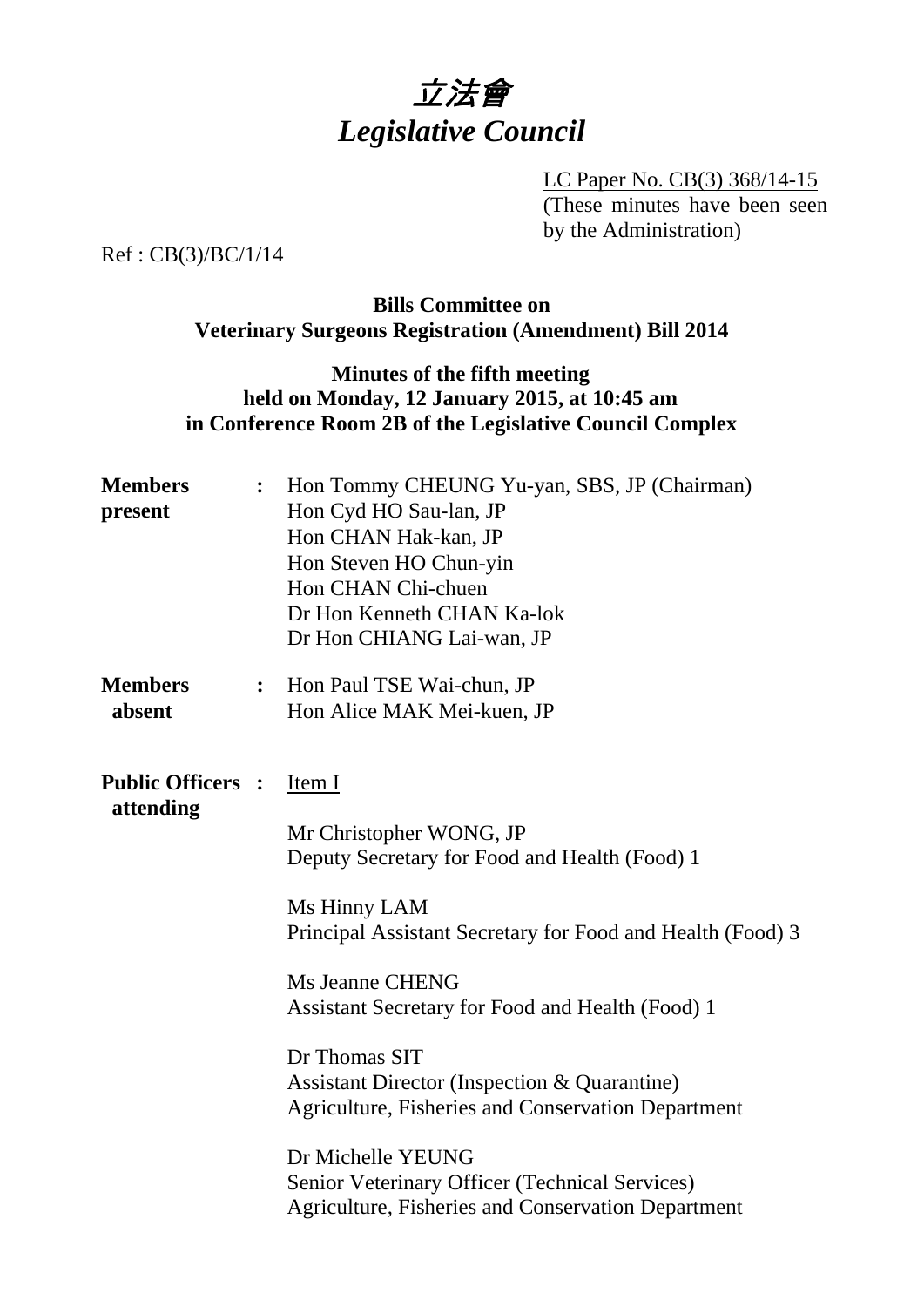

LC Paper No. CB(3) 368/14-15 (These minutes have been seen by the Administration)

Ref : CB(3)/BC/1/14

## **Bills Committee on Veterinary Surgeons Registration (Amendment) Bill 2014**

## **Minutes of the fifth meeting held on Monday, 12 January 2015, at 10:45 am in Conference Room 2B of the Legislative Council Complex**

| Hon Tommy CHEUNG Yu-yan, SBS, JP (Chairman)<br>$\ddot{\cdot}$<br>Hon Cyd HO Sau-lan, JP<br>Hon CHAN Hak-kan, JP<br>Hon Steven HO Chun-yin<br>Hon CHAN Chi-chuen<br>Dr Hon Kenneth CHAN Ka-lok<br>Dr Hon CHIANG Lai-wan, JP                                                                                                                                                                                                                                                                                                                |
|-------------------------------------------------------------------------------------------------------------------------------------------------------------------------------------------------------------------------------------------------------------------------------------------------------------------------------------------------------------------------------------------------------------------------------------------------------------------------------------------------------------------------------------------|
| : Hon Paul TSE Wai-chun, JP<br>Hon Alice MAK Mei-kuen, JP                                                                                                                                                                                                                                                                                                                                                                                                                                                                                 |
| <b>Public Officers :</b><br>Item I<br>Mr Christopher WONG, JP<br>Deputy Secretary for Food and Health (Food) 1<br>Ms Hinny LAM<br>Principal Assistant Secretary for Food and Health (Food) 3<br>Ms Jeanne CHENG<br>Assistant Secretary for Food and Health (Food) 1<br>Dr Thomas SIT<br><b>Assistant Director (Inspection &amp; Quarantine)</b><br>Agriculture, Fisheries and Conservation Department<br>Dr Michelle YEUNG<br>Senior Veterinary Officer (Technical Services)<br><b>Agriculture, Fisheries and Conservation Department</b> |
|                                                                                                                                                                                                                                                                                                                                                                                                                                                                                                                                           |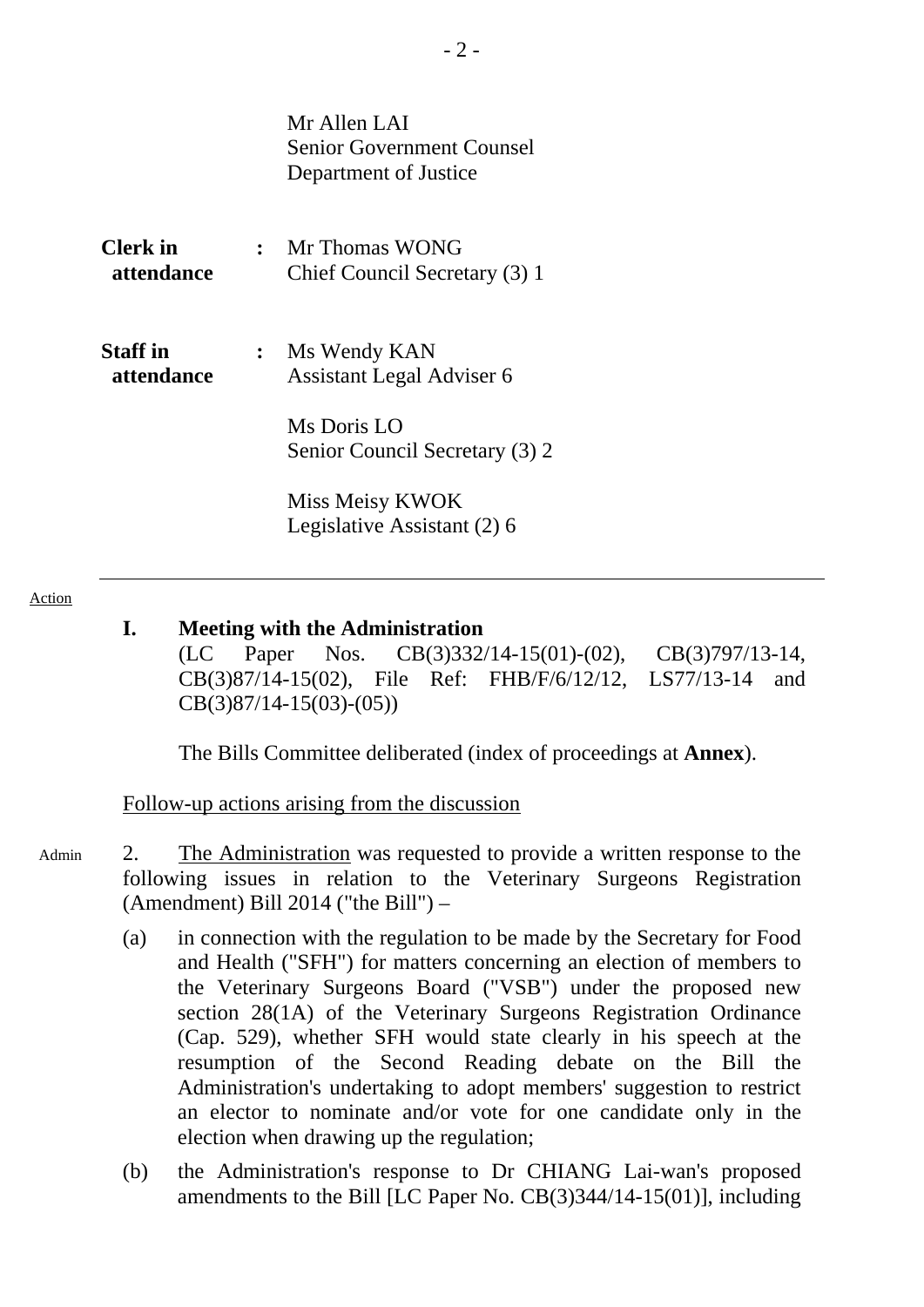Mr Allen LAI Senior Government Counsel Department of Justice

| <b>Clerk</b> in<br><b>attendance</b> | $\cdot$ | Mr Thomas WONG<br>Chief Council Secretary (3) 1 |
|--------------------------------------|---------|-------------------------------------------------|
| <b>Staff</b> in<br>attendance        |         | Ms Wendy KAN<br>Assistant Legal Adviser 6       |
|                                      |         | Ms Doris LO<br>Senior Council Secretary (3) 2   |
|                                      |         | Miss Meisy KWOK<br>Legislative Assistant (2) 6  |

#### Action

### **I. Meeting with the Administration**

(LC Paper Nos. CB(3)332/14-15(01)-(02), CB(3)797/13-14, CB(3)87/14-15(02), File Ref: FHB/F/6/12/12, LS77/13-14 and CB(3)87/14-15(03)-(05))

1. The Bills Committee deliberated (index of proceedings at **Annex**).

Follow-up actions arising from the discussion

- 2. The Administration was requested to provide a written response to the following issues in relation to the Veterinary Surgeons Registration (Amendment) Bill 2014 ("the Bill") – Admin
	- (a) in connection with the regulation to be made by the Secretary for Food and Health ("SFH") for matters concerning an election of members to the Veterinary Surgeons Board ("VSB") under the proposed new section 28(1A) of the Veterinary Surgeons Registration Ordinance (Cap. 529), whether SFH would state clearly in his speech at the resumption of the Second Reading debate on the Bill the Administration's undertaking to adopt members' suggestion to restrict an elector to nominate and/or vote for one candidate only in the election when drawing up the regulation;
	- (b) the Administration's response to Dr CHIANG Lai-wan's proposed amendments to the Bill [LC Paper No. CB(3)344/14-15(01)], including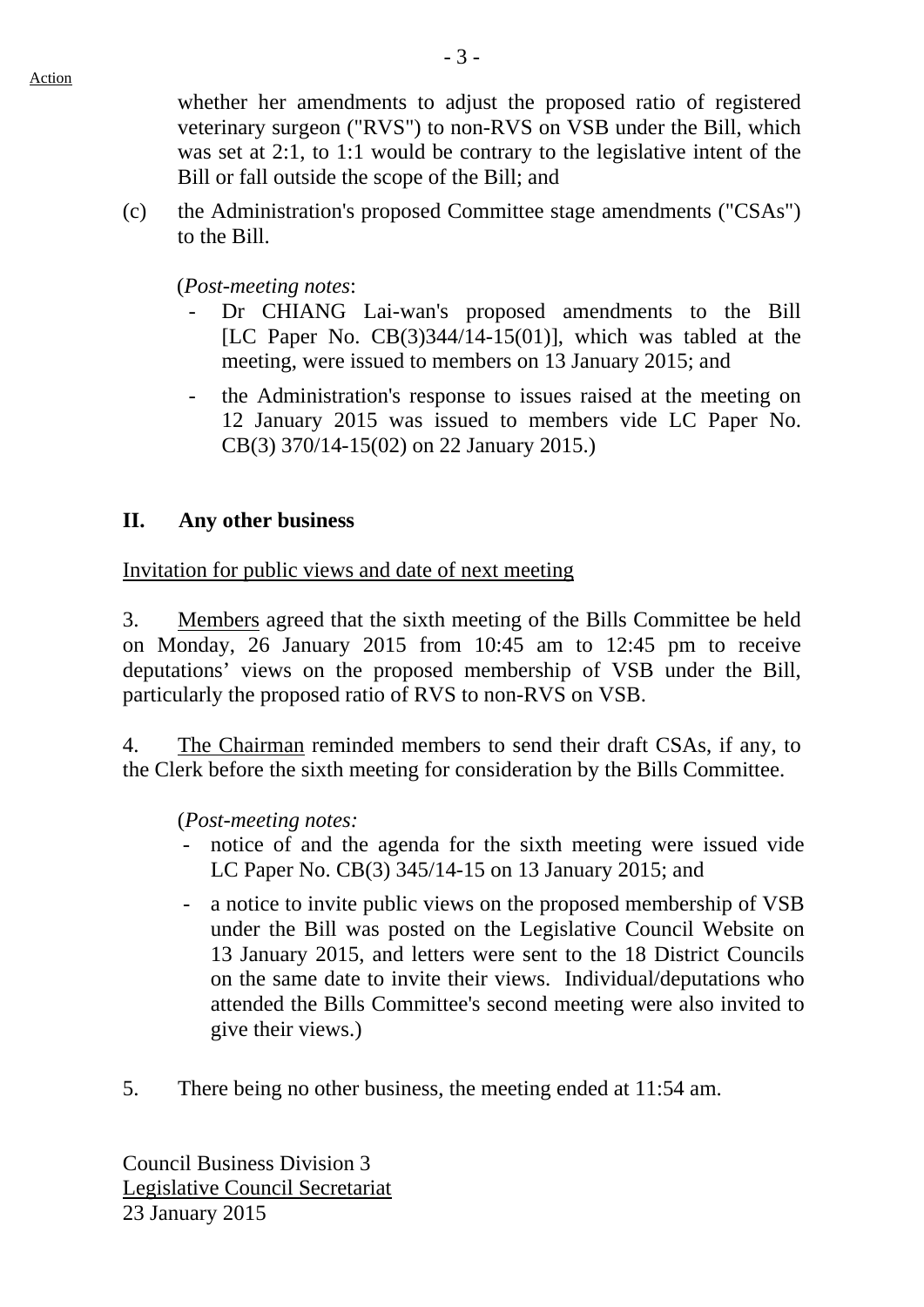whether her amendments to adjust the proposed ratio of registered veterinary surgeon ("RVS") to non-RVS on VSB under the Bill, which was set at 2:1, to 1:1 would be contrary to the legislative intent of the Bill or fall outside the scope of the Bill; and

(c) the Administration's proposed Committee stage amendments ("CSAs") to the Bill.

(*Post-meeting notes*:

- Dr CHIANG Lai-wan's proposed amendments to the Bill [LC Paper No.  $CB(3)344/14-15(01)$ ], which was tabled at the meeting, were issued to members on 13 January 2015; and
- the Administration's response to issues raised at the meeting on 12 January 2015 was issued to members vide LC Paper No. CB(3) 370/14-15(02) on 22 January 2015.)

## **II. Any other business**

Invitation for public views and date of next meeting

3. Members agreed that the sixth meeting of the Bills Committee be held on Monday, 26 January 2015 from 10:45 am to 12:45 pm to receive deputations' views on the proposed membership of VSB under the Bill, particularly the proposed ratio of RVS to non-RVS on VSB.

4. The Chairman reminded members to send their draft CSAs, if any, to the Clerk before the sixth meeting for consideration by the Bills Committee.

(*Post-meeting notes:*

- notice of and the agenda for the sixth meeting were issued vide LC Paper No. CB(3) 345/14-15 on 13 January 2015; and
- a notice to invite public views on the proposed membership of VSB under the Bill was posted on the Legislative Council Website on 13 January 2015, and letters were sent to the 18 District Councils on the same date to invite their views. Individual/deputations who attended the Bills Committee's second meeting were also invited to give their views.)
- 5. There being no other business, the meeting ended at 11:54 am.

Council Business Division 3 Legislative Council Secretariat 23 January 2015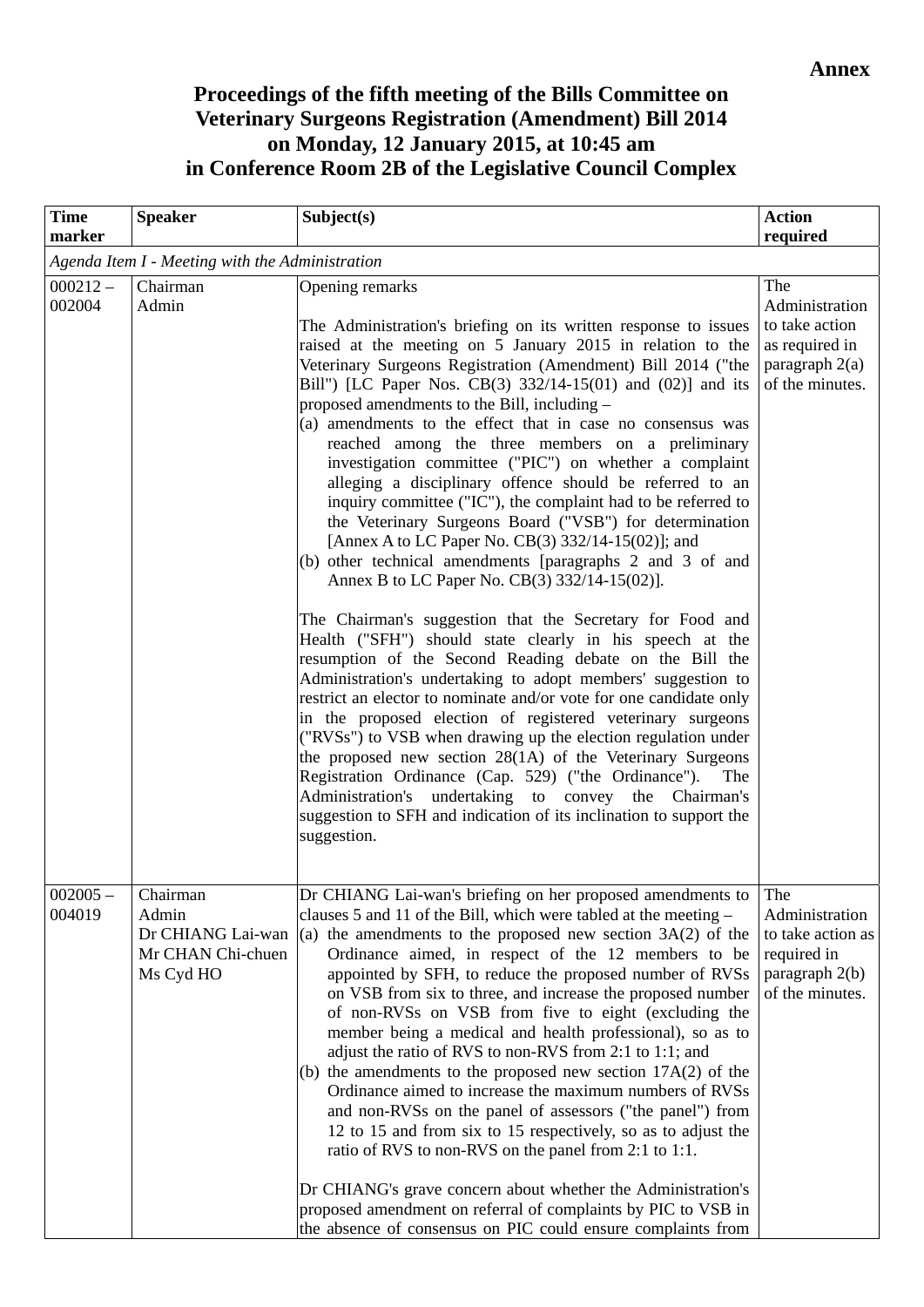# **Proceedings of the fifth meeting of the Bills Committee on Veterinary Surgeons Registration (Amendment) Bill 2014 on Monday, 12 January 2015, at 10:45 am in Conference Room 2B of the Legislative Council Complex**

| <b>Time</b><br>marker                           | <b>Speaker</b>                                                           | Subject(s)                                                                                                                                                                                                                                                                                                                                                                                                                                                                                                                                                                                                                                                                                                                                                                                                                                                                                                                                                                                                                                                                                                                                                                                                                                                                                                                                                                                                                                                                                                                                                                                                       | <b>Action</b><br>required                                                                      |  |  |  |  |  |
|-------------------------------------------------|--------------------------------------------------------------------------|------------------------------------------------------------------------------------------------------------------------------------------------------------------------------------------------------------------------------------------------------------------------------------------------------------------------------------------------------------------------------------------------------------------------------------------------------------------------------------------------------------------------------------------------------------------------------------------------------------------------------------------------------------------------------------------------------------------------------------------------------------------------------------------------------------------------------------------------------------------------------------------------------------------------------------------------------------------------------------------------------------------------------------------------------------------------------------------------------------------------------------------------------------------------------------------------------------------------------------------------------------------------------------------------------------------------------------------------------------------------------------------------------------------------------------------------------------------------------------------------------------------------------------------------------------------------------------------------------------------|------------------------------------------------------------------------------------------------|--|--|--|--|--|
| Agenda Item I - Meeting with the Administration |                                                                          |                                                                                                                                                                                                                                                                                                                                                                                                                                                                                                                                                                                                                                                                                                                                                                                                                                                                                                                                                                                                                                                                                                                                                                                                                                                                                                                                                                                                                                                                                                                                                                                                                  |                                                                                                |  |  |  |  |  |
| $000212 -$<br>002004                            | Chairman<br>Admin                                                        | Opening remarks<br>The Administration's briefing on its written response to issues<br>raised at the meeting on 5 January 2015 in relation to the<br>Veterinary Surgeons Registration (Amendment) Bill 2014 ("the<br>Bill") [LC Paper Nos. CB(3) $332/14-15(01)$ and $(02)$ ] and its<br>proposed amendments to the Bill, including –<br>(a) amendments to the effect that in case no consensus was<br>reached among the three members on a preliminary<br>investigation committee ("PIC") on whether a complaint<br>alleging a disciplinary offence should be referred to an<br>inquiry committee ("IC"), the complaint had to be referred to<br>the Veterinary Surgeons Board ("VSB") for determination<br>[Annex A to LC Paper No. CB(3) 332/14-15(02)]; and<br>(b) other technical amendments [paragraphs 2 and 3 of and<br>Annex B to LC Paper No. CB(3) 332/14-15(02)].<br>The Chairman's suggestion that the Secretary for Food and<br>Health ("SFH") should state clearly in his speech at the<br>resumption of the Second Reading debate on the Bill the<br>Administration's undertaking to adopt members' suggestion to<br>restrict an elector to nominate and/or vote for one candidate only<br>in the proposed election of registered veterinary surgeons<br>("RVSs") to VSB when drawing up the election regulation under<br>the proposed new section 28(1A) of the Veterinary Surgeons<br>Registration Ordinance (Cap. 529) ("the Ordinance").<br>The<br>Administration's undertaking to convey the Chairman's<br>suggestion to SFH and indication of its inclination to support the<br>suggestion. | The<br>Administration<br>to take action<br>as required in<br>paragraph 2(a)<br>of the minutes. |  |  |  |  |  |
| $002005 -$<br>004019                            | Chairman<br>Admin<br>Dr CHIANG Lai-wan<br>Mr CHAN Chi-chuen<br>Ms Cyd HO | Dr CHIANG Lai-wan's briefing on her proposed amendments to The<br>clauses 5 and 11 of the Bill, which were tabled at the meeting –<br>(a) the amendments to the proposed new section $3A(2)$ of the<br>Ordinance aimed, in respect of the 12 members to be<br>appointed by SFH, to reduce the proposed number of RVSs<br>on VSB from six to three, and increase the proposed number<br>of non-RVSs on VSB from five to eight (excluding the<br>member being a medical and health professional), so as to<br>adjust the ratio of RVS to non-RVS from 2:1 to 1:1; and<br>(b) the amendments to the proposed new section $17A(2)$ of the<br>Ordinance aimed to increase the maximum numbers of RVSs<br>and non-RVSs on the panel of assessors ("the panel") from<br>12 to 15 and from six to 15 respectively, so as to adjust the<br>ratio of RVS to non-RVS on the panel from 2:1 to 1:1.<br>Dr CHIANG's grave concern about whether the Administration's<br>proposed amendment on referral of complaints by PIC to VSB in<br>the absence of consensus on PIC could ensure complaints from                                                                                                                                                                                                                                                                                                                                                                                                                                                                                                                         | Administration<br>to take action as<br>required in<br>paragraph $2(b)$<br>of the minutes.      |  |  |  |  |  |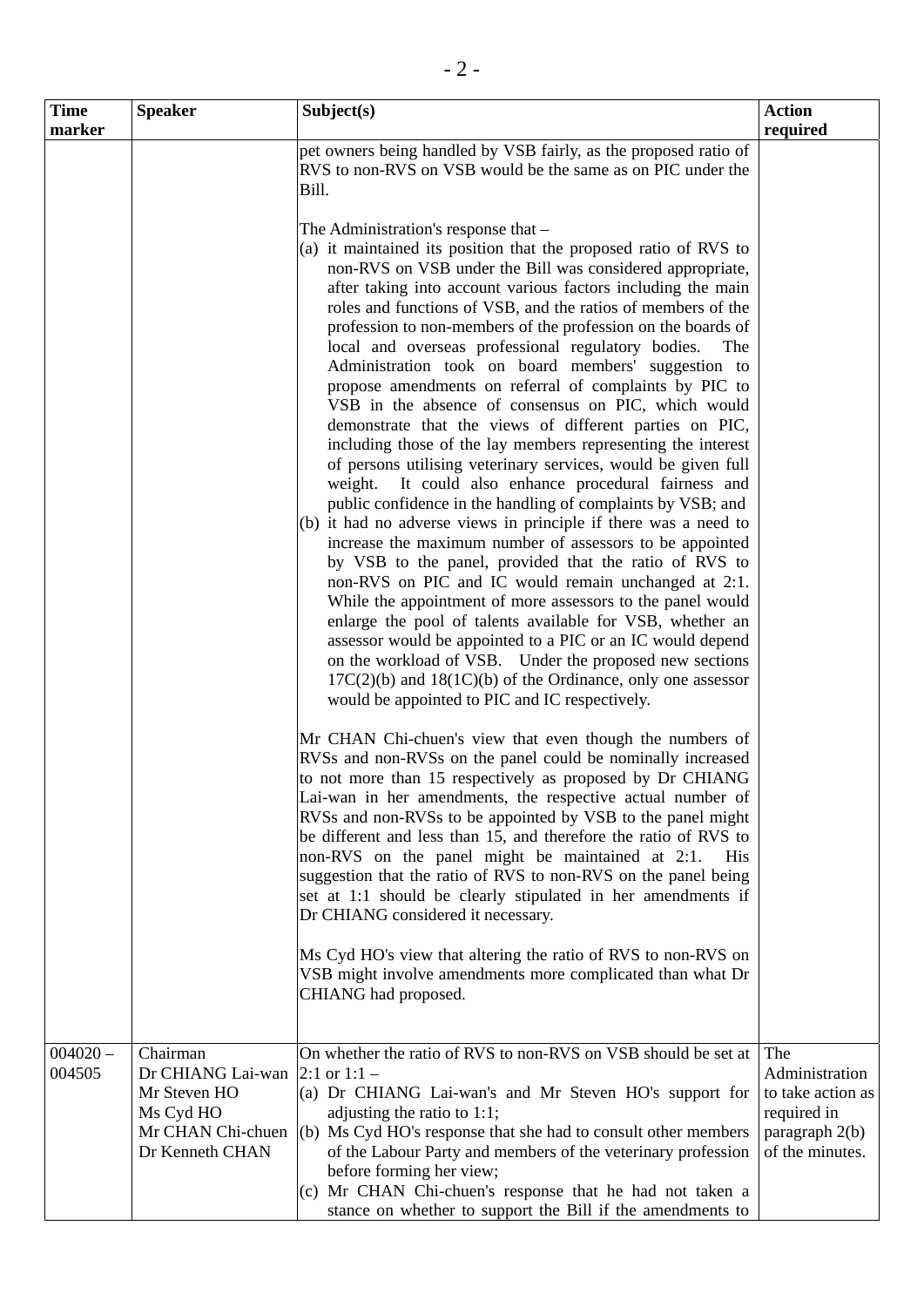| <b>Time</b>          | <b>Speaker</b>                                                                                     | Subject(s)                                                                                                                                                                                                                                                                                                                                                                                                                                                                                                                                                                                                                                                                                                                                                                                                                                                                                                                                                                                                                                                                                                                                       | <b>Action</b>                                                                                    |
|----------------------|----------------------------------------------------------------------------------------------------|--------------------------------------------------------------------------------------------------------------------------------------------------------------------------------------------------------------------------------------------------------------------------------------------------------------------------------------------------------------------------------------------------------------------------------------------------------------------------------------------------------------------------------------------------------------------------------------------------------------------------------------------------------------------------------------------------------------------------------------------------------------------------------------------------------------------------------------------------------------------------------------------------------------------------------------------------------------------------------------------------------------------------------------------------------------------------------------------------------------------------------------------------|--------------------------------------------------------------------------------------------------|
| marker               |                                                                                                    | pet owners being handled by VSB fairly, as the proposed ratio of<br>RVS to non-RVS on VSB would be the same as on PIC under the<br>Bill.<br>The Administration's response that -<br>(a) it maintained its position that the proposed ratio of RVS to<br>non-RVS on VSB under the Bill was considered appropriate,<br>after taking into account various factors including the main<br>roles and functions of VSB, and the ratios of members of the<br>profession to non-members of the profession on the boards of<br>local and overseas professional regulatory bodies.<br>The<br>Administration took on board members' suggestion to<br>propose amendments on referral of complaints by PIC to<br>VSB in the absence of consensus on PIC, which would<br>demonstrate that the views of different parties on PIC,<br>including those of the lay members representing the interest<br>of persons utilising veterinary services, would be given full<br>It could also enhance procedural fairness and<br>weight.<br>public confidence in the handling of complaints by VSB; and<br>(b) it had no adverse views in principle if there was a need to | required                                                                                         |
|                      |                                                                                                    | increase the maximum number of assessors to be appointed<br>by VSB to the panel, provided that the ratio of RVS to<br>non-RVS on PIC and IC would remain unchanged at 2:1.<br>While the appointment of more assessors to the panel would<br>enlarge the pool of talents available for VSB, whether an<br>assessor would be appointed to a PIC or an IC would depend<br>on the workload of VSB. Under the proposed new sections<br>$17C(2)(b)$ and $18(1C)(b)$ of the Ordinance, only one assessor<br>would be appointed to PIC and IC respectively.                                                                                                                                                                                                                                                                                                                                                                                                                                                                                                                                                                                              |                                                                                                  |
|                      |                                                                                                    | Mr CHAN Chi-chuen's view that even though the numbers of<br>RVSs and non-RVSs on the panel could be nominally increased<br>to not more than 15 respectively as proposed by Dr CHIANG<br>Lai-wan in her amendments, the respective actual number of<br>RVSs and non-RVSs to be appointed by VSB to the panel might<br>be different and less than 15, and therefore the ratio of RVS to<br>non-RVS on the panel might be maintained at 2:1.<br><b>His</b><br>suggestion that the ratio of RVS to non-RVS on the panel being<br>set at 1:1 should be clearly stipulated in her amendments if<br>Dr CHIANG considered it necessary.                                                                                                                                                                                                                                                                                                                                                                                                                                                                                                                  |                                                                                                  |
|                      |                                                                                                    | Ms Cyd HO's view that altering the ratio of RVS to non-RVS on<br>VSB might involve amendments more complicated than what Dr<br>CHIANG had proposed.                                                                                                                                                                                                                                                                                                                                                                                                                                                                                                                                                                                                                                                                                                                                                                                                                                                                                                                                                                                              |                                                                                                  |
| $004020 -$<br>004505 | Chairman<br>Dr CHIANG Lai-wan<br>Mr Steven HO<br>Ms Cyd HO<br>Mr CHAN Chi-chuen<br>Dr Kenneth CHAN | On whether the ratio of RVS to non-RVS on VSB should be set at<br>2:1 or $1:1 -$<br>(a) Dr CHIANG Lai-wan's and Mr Steven HO's support for<br>adjusting the ratio to 1:1;<br>(b) Ms Cyd HO's response that she had to consult other members<br>of the Labour Party and members of the veterinary profession<br>before forming her view;<br>(c) Mr CHAN Chi-chuen's response that he had not taken a<br>stance on whether to support the Bill if the amendments to                                                                                                                                                                                                                                                                                                                                                                                                                                                                                                                                                                                                                                                                                | The<br>Administration<br>to take action as<br>required in<br>paragraph $2(b)$<br>of the minutes. |